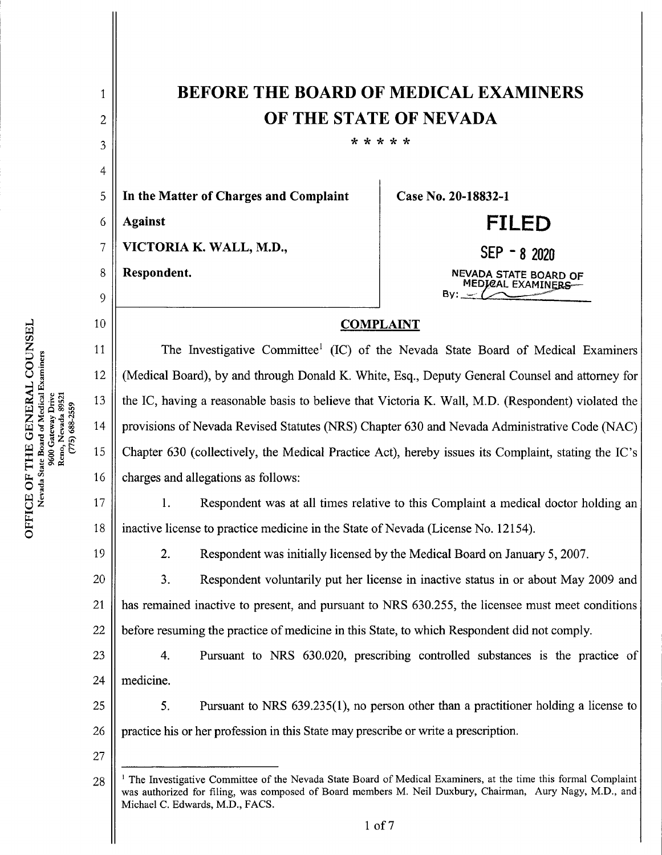| 1  | <b>BEFORE THE BOARD OF MEDICAL EXAMINERS</b>                                                                                                                                                                                                                              |                                                                                              |
|----|---------------------------------------------------------------------------------------------------------------------------------------------------------------------------------------------------------------------------------------------------------------------------|----------------------------------------------------------------------------------------------|
| 2  | OF THE STATE OF NEVADA                                                                                                                                                                                                                                                    |                                                                                              |
| 3  |                                                                                                                                                                                                                                                                           | * * * * *                                                                                    |
| 4  |                                                                                                                                                                                                                                                                           |                                                                                              |
| 5  | In the Matter of Charges and Complaint                                                                                                                                                                                                                                    | Case No. 20-18832-1                                                                          |
| 6  | <b>Against</b>                                                                                                                                                                                                                                                            | FILED                                                                                        |
| 7  | VICTORIA K. WALL, M.D.,                                                                                                                                                                                                                                                   | $SEP - 82020$                                                                                |
| 8  | Respondent.                                                                                                                                                                                                                                                               | NEVADA STATE BOARD OF<br>MEDICAL EXAMINER <del>S</del>                                       |
| 9  |                                                                                                                                                                                                                                                                           |                                                                                              |
| 10 | <b>COMPLAINT</b>                                                                                                                                                                                                                                                          |                                                                                              |
| 11 |                                                                                                                                                                                                                                                                           | The Investigative Committee <sup>1</sup> (IC) of the Nevada State Board of Medical Examiners |
| 12 | (Medical Board), by and through Donald K. White, Esq., Deputy General Counsel and attorney for                                                                                                                                                                            |                                                                                              |
| 13 | the IC, having a reasonable basis to believe that Victoria K. Wall, M.D. (Respondent) violated the                                                                                                                                                                        |                                                                                              |
| 14 | provisions of Nevada Revised Statutes (NRS) Chapter 630 and Nevada Administrative Code (NAC)                                                                                                                                                                              |                                                                                              |
| 15 | Chapter 630 (collectively, the Medical Practice Act), hereby issues its Complaint, stating the IC's                                                                                                                                                                       |                                                                                              |
| 16 | charges and allegations as follows:                                                                                                                                                                                                                                       |                                                                                              |
| 17 | 1.                                                                                                                                                                                                                                                                        | Respondent was at all times relative to this Complaint a medical doctor holding an           |
| 18 | inactive license to practice medicine in the State of Nevada (License No. 12154).                                                                                                                                                                                         |                                                                                              |
| 19 | 2.                                                                                                                                                                                                                                                                        | Respondent was initially licensed by the Medical Board on January 5, 2007.                   |
| 20 | 3.                                                                                                                                                                                                                                                                        | Respondent voluntarily put her license in inactive status in or about May 2009 and           |
| 21 | has remained inactive to present, and pursuant to NRS 630.255, the licensee must meet conditions                                                                                                                                                                          |                                                                                              |
| 22 | before resuming the practice of medicine in this State, to which Respondent did not comply.                                                                                                                                                                               |                                                                                              |
| 23 | 4.                                                                                                                                                                                                                                                                        | Pursuant to NRS 630.020, prescribing controlled substances is the practice of                |
| 24 | medicine.                                                                                                                                                                                                                                                                 |                                                                                              |
| 25 | 5.                                                                                                                                                                                                                                                                        | Pursuant to NRS $639.235(1)$ , no person other than a practitioner holding a license to      |
| 26 | practice his or her profession in this State may prescribe or write a prescription.                                                                                                                                                                                       |                                                                                              |
| 27 |                                                                                                                                                                                                                                                                           |                                                                                              |
| 28 | <sup>1</sup> The Investigative Committee of the Nevada State Board of Medical Examiners, at the time this formal Complaint<br>was authorized for filing, was composed of Board members M. Neil Duxbury, Chairman, Aury Nagy, M.D., and<br>Michael C. Edwards, M.D., FACS. |                                                                                              |
|    |                                                                                                                                                                                                                                                                           | $1$ of $7$                                                                                   |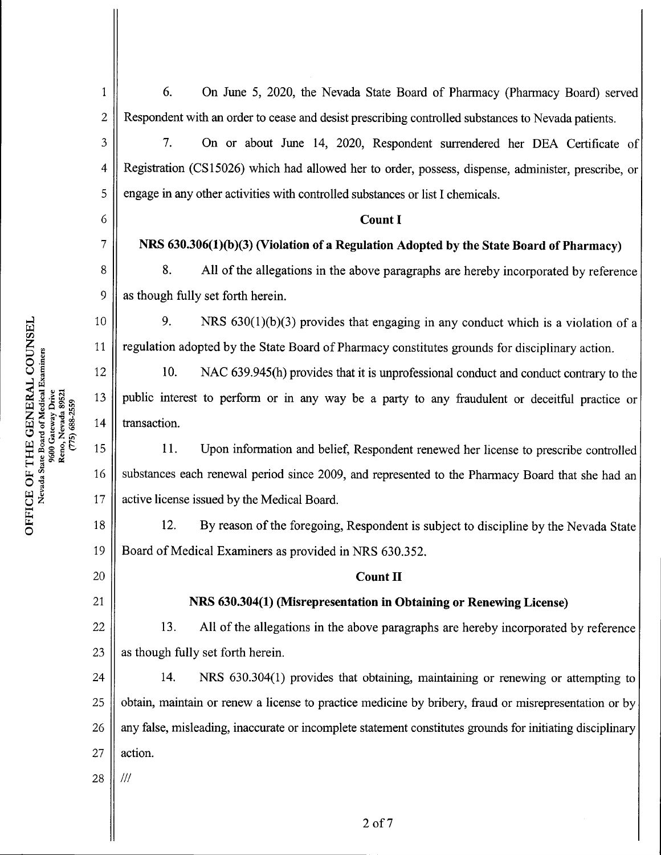(775) 688-2559

<sup>1</sup><br>  $\begin{bmatrix} 1 \\ 2 \\ 3 \\ 4 \\ 6 \end{bmatrix}$  Respondent with an o<br>
<sup>3</sup><br>
Registration (CS1502<br>
engage in any other ac<br>
6<br>
7<br>
NRS 630.306(1)(b<br>
8<br>
8. All of me 5, 2020, the Nevada Strate of the Nevada Strate of the Nevada Strate of the 14, 2020,<br>
(6) which had allowed here trivities with controlled sub C<br>
(1)(3) (Violation of a Regulation of the allocations in the above 1  $\begin{bmatrix} 1 \end{bmatrix}$  6. On June 5, 2020, the Nevada State Board of Pharmacy (Pharmacy Board) served 2 Respondent with an order to cease and desist prescribing controlled substances to Nevada patients Respondent with an order to cease and desist prescribing controlled substances to Nevada patients.<br>
7. On or about June 14, 2020, Respondent surrendered her DEA Certificate of 4 | Registration (CS15026) which had allowed her to order, possess, dispense, administer, prescribe, or  $5\text{ }$  engage in any other activities with controlled substances or list I chemicals. Count I 7NRS 630.306(l)(b)(3)(Violation ofaRegulation Adopted by the StateBoard ofPharmacy) 88. All ofthe allegationsin the above paragraphs are hereby incorporated by reference  $\begin{array}{c|c}\n8 & 8. & \text{All of the allegations in the above paragraphs are hereby incorporated by reference}\n\end{array}$  as though fully set forth herein. 10 9. NRS 630(1)(b)(3) provides that engaging in any conduct which is a violation of a<br>11 regulation adopted by the State Board of Pharmacy constitutes grounds for disciplinary action <sup>10</sup><br>
11 regulation adopted by the State Board of Pharmacy constitutes grounds for disciplinary action.<br>
12 10. NAC 639.945(h) provides that it is unprofessional conduct and conduct contrary to the 12 10. NAC 639.945(h) provides that it is unprofessional conduct and conduct contrary to the 13 public interest to perform or in any way be a party to any fraudulent or deceitful practice or 13<br>
public interest to perform or in any way be a part<br>
14<br>
15<br>
11. Upon information and belief, Responde<br>
16<br>
substances each renewal period since 2009, and repres<br>
17<br>
active license issued by the Medical Board.<br>
18<br>
12. 14 | transaction. 15<br>11. Upon information and belief, Respondent renewed her license to prescribe controlled<br>16 substances each renewal period since 2009, and represented to the Pharmacy Board that she had an substances each renewal period since 2009, and represented to the Pharmacy Board that she had an 17 || active license issued by the Medical Board. 18<br>12. By reason of the foregoing, Respondent is subject to discipline by the Nevada State<br>19<br>19 Board of Medical Examiners as provided in NRS 630 352 Board of Medical Examiners as provided in NRS 630.352. 20<br>21 NRS 630.304(1) (Misrepresentation in Obtaining or Renewing License)<br>22 13. All of the allegations in the above paragraphs are hereby incorporated 22 $\begin{vmatrix} 13. \end{vmatrix}$  All of the allegations in the above paragraphs are hereby incorporated by reference<br>23 as though fully set forth herein. as though fully set forth herein. 24 14. NRS 630.304(1) provides that obtaining, maintaining or renewing or attempting to<br>25 obtain, maintain or renew a license to practice medicine by bribery fraud or misrepresentation or by 25obtain, maintain orrenew <sup>a</sup> license to practice medicine by bribery, fraud or misrepresentation or by 26 | any false, misleading, inaccurate or incomplete statement constitutes grounds for initiating disciplinary 27  $\parallel$  action. 28  $^{\prime\prime\prime}$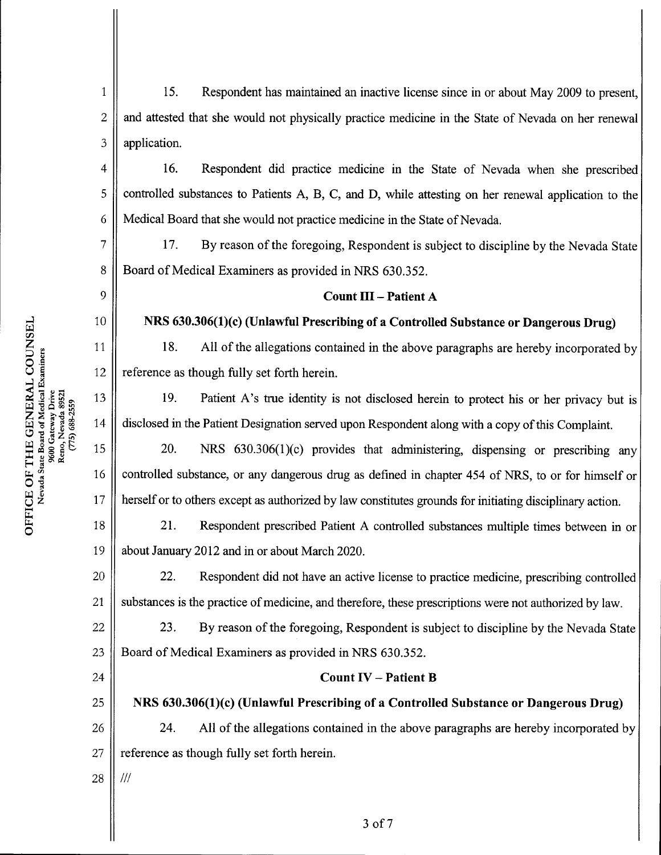4

5

6

7

8

9

10

11

12

13

14

17

20

21

24

28

 $III$ 

15. Respondent has maintained an inactive license since in or about May 2009 to present, and attested that she would not physically practice medicine in the State of Nevada on her renewal application. l  $\overline{2}$ 3

16. Respondent did practice medicine in the State of Nevada when she prescribed controlled substances to Patients A, B, C, and D, while attesting on her renewal application to the Medical Board that she would not practice medicine in the State of Nevada.

17. By reason of the foregoing, Respondent is subject to discipline by the Nevada State Board of Medical Examiners as provided in NRS 630.352.

## Count  $III$  – Patient A

NRS 630.306(1)(c) (Unlawful Prescribing of a Controlled Substance or Dangerous Drug)

18. All of the allegations contained in the above paragraphs are hereby incorporated by reference as though fully set forth herein.

19. Patient A's true identity is not disclosed herein to protect his or her privacy but is

disclosed in the Patient Designation served upon Respondent along with a copy of this Complaint.<br>20. NRS 630.306(1)(c) provides that administering, dispensing or prescribing any controlled substance, or any dangerous drug as defined in chapter 454 of NRS, to or for himself or herself or to others except as authorized by law constitutes grounds for initiating disciplinary action. 15 16

21. Respondent prescribed Patient A controlled substances multiple times between in or about January 2012 and in or about March 2020. 18 19

22. Respondent did not have an active license to practice medicine, prescribing controlled

substances is the practice of medicine, and therefore, these prescriptions were not authorized by law.<br>23. By reason of the foregoing, Respondent is subject to discipline by the Nevada State Board of Medical Examiners as provided in NRS 630.352. 22 23

## Count  $IV -$  Patient B

NRS 630.306(1)(c) (Unlawful Prescribing of a Controlled Substance or Dangerous Drug)<br>24. All of the allegations contained in the above paragraphs are hereby incorporated by 25 26

reference as though fully set forth herein. 27

<sup>3</sup> of7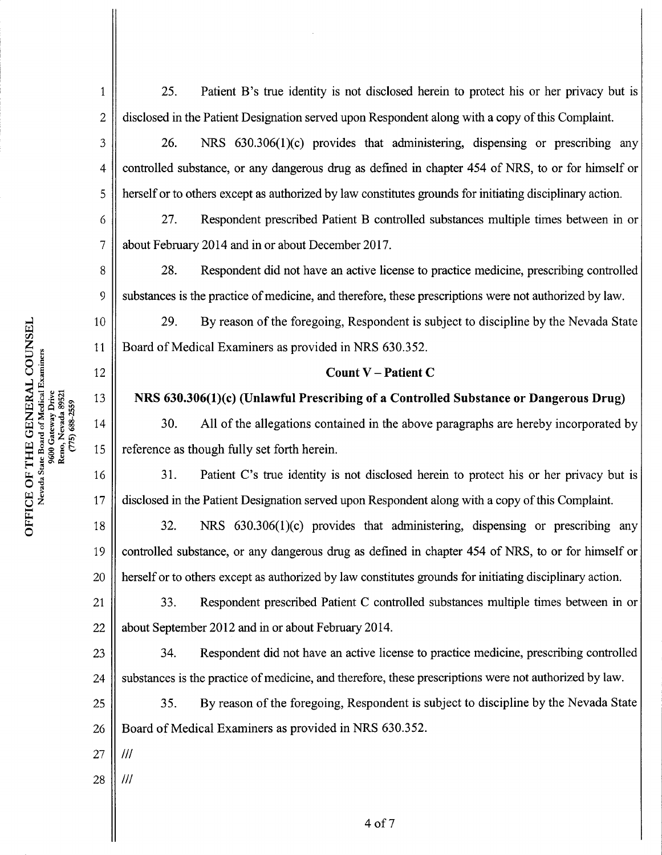25. Patient B's true identity is not disclosed herein to protect his or her privacy but is

disclosed in the Patient Designation served upon Respondent along with a copy of this Complaint.<br>26. NRS 630.306(1)(c) provides that administering, dispensing or prescribing any controlled substance, or any dangerous drug as defined in chapter 454 of NRS, to or for himself or

herself or to others except as authorized by law constitutes grounds for initiating disciplinary action.<br>27. Respondent prescribed Patient B controlled substances multiple times between in or about February 2014 and in or about December 2017.

28. Respondent did not have an active license to practice medicine, prescribing controlled

substances is the practice of medicine, and therefore, these prescriptions were not authorized by law.<br>29. By reason of the foregoing, Respondent is subject to discipline by the Nevada State Board of Medical Examiners as provided in NRS 630.352.

## Count  $V-$  Patient  $C$

NRS 630.306(1)(c) (Unlawful Prescribing of a Controlled Substance or Dangerous Drug)<br>30. All of the allegations contained in the above paragraphs are hereby incorporated by reference as though fully set forth herein.

31. Patient C's true identity is not disclosed herein to protect his or her privacy but is

disclosed in the Patient Designation served upon Respondent along with a copy of this Complaint.<br>32. NRS 630.306(1)(c) provides that administering, dispensing or prescribing any controlled substance, or any dangerous drug as defined in chapter 454 of NRS, to or for himself or 18 19 20

herself or to others except as authorized by law constitutes grounds for initiating disciplinary action.<br>33. Respondent prescribed Patient C controlled substances multiple times between in or about September 2012 and in or about February 2014. 21 22

34.Respondent did not have an active license to practice medicine, prescribing controlled 23 24

substances is the practice of medicine, and therefore, these prescriptions were not authorized by law.<br>35. By reason of the foregoing, Respondent is subject to discipline by the Nevada State Board of Medical Examiners as provided in NRS 630.352. 25 26

27  $III$ 

 $III$ 

28

y<br>SE

1

2

3

4

5

6

7

8

9

10

11

12

13

14

15

16

17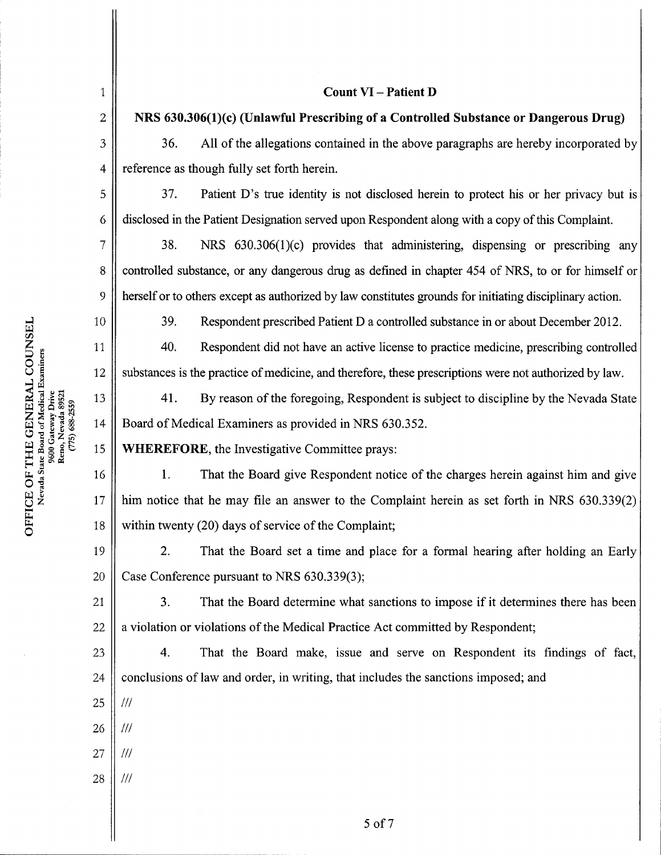| $\mathbf{1}$     | <b>Count VI – Patient D</b>                                                                              |  |  |
|------------------|----------------------------------------------------------------------------------------------------------|--|--|
| $\boldsymbol{2}$ | NRS 630.306(1)(c) (Unlawful Prescribing of a Controlled Substance or Dangerous Drug)                     |  |  |
| 3                | 36.<br>All of the allegations contained in the above paragraphs are hereby incorporated by               |  |  |
| $\overline{4}$   | reference as though fully set forth herein.                                                              |  |  |
| 5                | 37.<br>Patient D's true identity is not disclosed herein to protect his or her privacy but is            |  |  |
| 6                | disclosed in the Patient Designation served upon Respondent along with a copy of this Complaint.         |  |  |
| 7                | 38.<br>NRS 630.306(1)(c) provides that administering, dispensing or prescribing any                      |  |  |
| 8                | controlled substance, or any dangerous drug as defined in chapter 454 of NRS, to or for himself or       |  |  |
| 9                | herself or to others except as authorized by law constitutes grounds for initiating disciplinary action. |  |  |
| 10               | 39.<br>Respondent prescribed Patient D a controlled substance in or about December 2012.                 |  |  |
| 11               | 40.<br>Respondent did not have an active license to practice medicine, prescribing controlled            |  |  |
| 12               | substances is the practice of medicine, and therefore, these prescriptions were not authorized by law.   |  |  |
| 13               | By reason of the foregoing, Respondent is subject to discipline by the Nevada State<br>41.               |  |  |
| 14               | Board of Medical Examiners as provided in NRS 630.352.                                                   |  |  |
| 15               | <b>WHEREFORE, the Investigative Committee prays:</b>                                                     |  |  |
| 16               | 1.<br>That the Board give Respondent notice of the charges herein against him and give                   |  |  |
| 17               | him notice that he may file an answer to the Complaint herein as set forth in NRS 630.339(2)             |  |  |
| 18               | within twenty (20) days of service of the Complaint;                                                     |  |  |
| 19               | 2.<br>That the Board set a time and place for a formal hearing after holding an Early                    |  |  |
| 20               | Case Conference pursuant to NRS 630.339(3);                                                              |  |  |
| 21               | That the Board determine what sanctions to impose if it determines there has been<br>3.                  |  |  |
| 22               | a violation or violations of the Medical Practice Act committed by Respondent;                           |  |  |
| 23               | That the Board make, issue and serve on Respondent its findings of fact,<br>4.                           |  |  |
| 24               | conclusions of law and order, in writing, that includes the sanctions imposed; and                       |  |  |
| 25               | $^{\prime\prime\prime}$                                                                                  |  |  |
| 26               | $\frac{1}{1}$                                                                                            |  |  |
| 27               | ///                                                                                                      |  |  |
| 28               | $^{\prime\prime\prime}$                                                                                  |  |  |
|                  |                                                                                                          |  |  |
|                  | 5 of 7                                                                                                   |  |  |

଼ି u<br>LCE Gateway<br>0, Nevada<br>775) 688-21 ב

۳,

E Ph o

 $\overline{\phantom{a}}$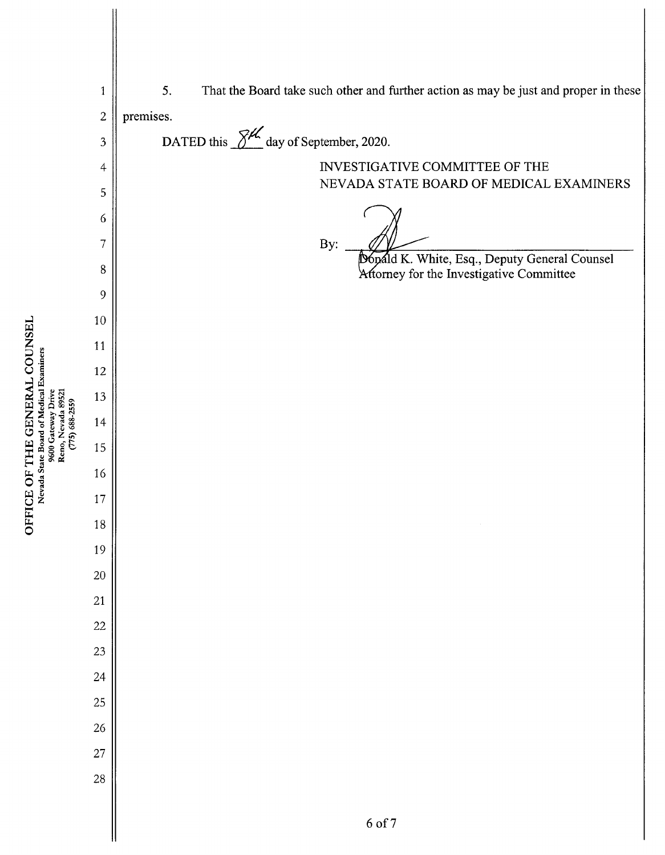

Reno, Nev.<br>(775) 68  $\frac{\text{Med}}{\text{av D}}$ z Nevada State Board of Medical Examiners

ا⊬<br>م

o